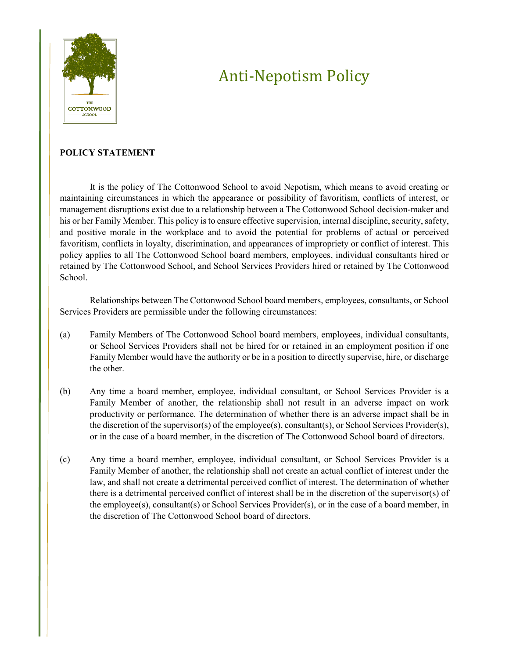

# Anti-Nepotism Policy

## **POLICY STATEMENT**

It is the policy of The Cottonwood School to avoid Nepotism, which means to avoid creating or maintaining circumstances in which the appearance or possibility of favoritism, conflicts of interest, or management disruptions exist due to a relationship between a The Cottonwood School decision-maker and his or her Family Member. This policy is to ensure effective supervision, internal discipline, security, safety, and positive morale in the workplace and to avoid the potential for problems of actual or perceived favoritism, conflicts in loyalty, discrimination, and appearances of impropriety or conflict of interest. This policy applies to all The Cottonwood School board members, employees, individual consultants hired or retained by The Cottonwood School, and School Services Providers hired or retained by The Cottonwood School.

Relationships between The Cottonwood School board members, employees, consultants, or School Services Providers are permissible under the following circumstances:

- (a) Family Members of The Cottonwood School board members, employees, individual consultants, or School Services Providers shall not be hired for or retained in an employment position if one Family Member would have the authority or be in a position to directly supervise, hire, or discharge the other.
- (b) Any time a board member, employee, individual consultant, or School Services Provider is a Family Member of another, the relationship shall not result in an adverse impact on work productivity or performance. The determination of whether there is an adverse impact shall be in the discretion of the supervisor(s) of the employee(s), consultant(s), or School Services Provider(s), or in the case of a board member, in the discretion of The Cottonwood School board of directors.
- (c) Any time a board member, employee, individual consultant, or School Services Provider is a Family Member of another, the relationship shall not create an actual conflict of interest under the law, and shall not create a detrimental perceived conflict of interest. The determination of whether there is a detrimental perceived conflict of interest shall be in the discretion of the supervisor(s) of the employee(s), consultant(s) or School Services Provider(s), or in the case of a board member, in the discretion of The Cottonwood School board of directors.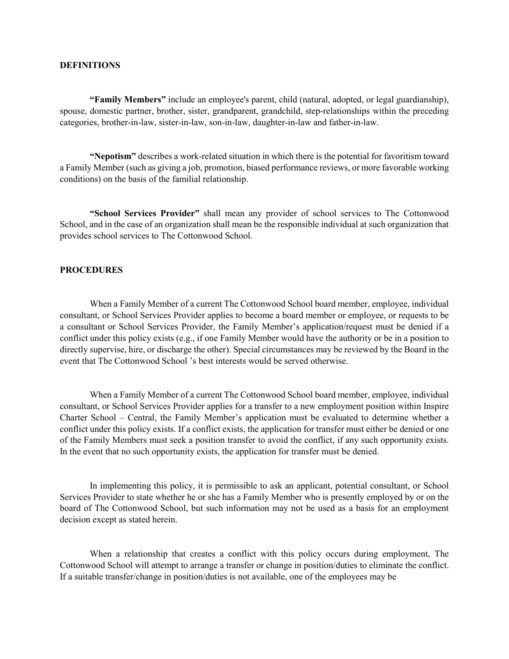### **DEFINITIONS**

**"Family Members"** include an employee's parent, child (natural, adopted, or legal guardianship), spouse, domestic partner, brother, sister, grandparent, grandchild, step-relationships within the preceding categories, brother-in-law, sister-in-law, son-in-law, daughter-in-law and father-in-law.

**"Nepotism"** describes a work-related situation in which there is the potential for favoritism toward a Family Member (such as giving a job, promotion, biased performance reviews, or more favorable working conditions) on the basis of the familial relationship.

**"School Services Provider"** shall mean any provider of school services to The Cottonwood School, and in the case of an organization shall mean be the responsible individual at such organization that provides school services to The Cottonwood School.

#### **PROCEDURES**

When a Family Member of a current The Cottonwood School board member, employee, individual consultant, or School Services Provider applies to become a board member or employee, or requests to be a consultant or School Services Provider, the Family Member's application/request must be denied if a conflict under this policy exists (e.g., if one Family Member would have the authority or be in a position to directly supervise, hire, or discharge the other). Special circumstances may be reviewed by the Board in the event that The Cottonwood School 's best interests would be served otherwise.

When a Family Member of a current The Cottonwood School board member, employee, individual consultant, or School Services Provider applies for a transfer to a new employment position within Inspire Charter School – Central, the Family Member's application must be evaluated to determine whether a conflict under this policy exists. If a conflict exists, the application for transfer must either be denied or one of the Family Members must seek a position transfer to avoid the conflict, if any such opportunity exists. In the event that no such opportunity exists, the application for transfer must be denied.

In implementing this policy, it is permissible to ask an applicant, potential consultant, or School Services Provider to state whether he or she has a Family Member who is presently employed by or on the board of The Cottonwood School, but such information may not be used as a basis for an employment decision except as stated herein.

When a relationship that creates a conflict with this policy occurs during employment, The Cottonwood School will attempt to arrange a transfer or change in position/duties to eliminate the conflict. If a suitable transfer/change in position/duties is not available, one of the employees may be